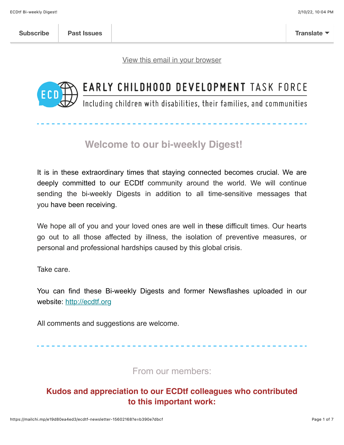[View this email in your browser](https://mailchi.mp/e19d80ea4ed3/ecdtf-newsletter-15602168?e=b390e7dbcf)



# EARLY CHILDHOOD DEVELOPMENT TASK FORCE

Including children with disabilities, their families, and communities

# **Welcome to our bi-weekly Digest!**

It is in these extraordinary times that staying connected becomes crucial. We are deeply committed to our ECDtf community around the world. We will continue sending the bi-weekly Digests in addition to all time-sensitive messages that you have been receiving.

We hope all of you and your loved ones are well in these difficult times. Our hearts go out to all those affected by illness, the isolation of preventive measures, or personal and professional hardships caused by this global crisis.

Take care.

You can find these Bi-weekly Digests and former Newsflashes uploaded in our website: [http://ecdtf.org](http://ecdtf.org/)

All comments and suggestions are welcome.

From our members:

## **Kudos and appreciation to our ECDtf colleagues who contributed to this important work:**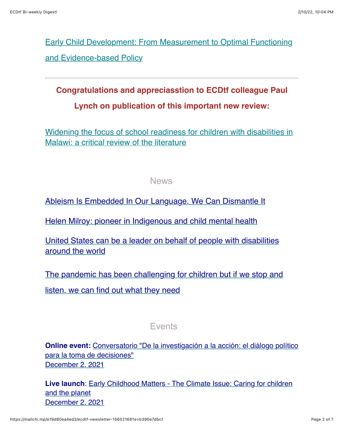[Early Child Development: From Measurement to Optimal Functioning](https://www.mdpi.com/books/pdfview/book/4331) and Evidence-based Policy

**Congratulations and appreciasstion to ECDtf colleague Paul Lynch on publication of this important new review:**

[Widening the focus of school readiness for children with disabilities in](https://mcusercontent.com/fdbb07179dc5a2d4ccfab37d9/files/65e8134f-3b57-7e1e-6928-97440d10376a/Lynch_Soni_2021_Widening_the_focus_of_school_readiness_for_children_with_disabilities_in_Malawi_a_critical_review_of_the_literature.pdf) Malawi: a critical review of the literature

### News

[Ableism Is Embedded In Our Language. We Can Dismantle It](https://www.buzzfeednews.com/article/emersonmalone/ableism-language-disability)

[Helen Milroy: pioneer in Indigenous and child mental health](https://www.thelancet.com/journals/lancet/article/PIIS0140-6736(21)02483-1/fulltext?dgcid=raven_jbs_etoc_email)

[United States can be a leader on behalf of people with disabilities](https://www.bostonglobe.com/2021/11/22/opinion/united-states-can-be-leader-behalf-people-with-disabilities-around-world/) around the world

[The pandemic has been challenging for children but if we stop and](https://www.theguardian.com/commentisfree/2021/nov/08/the-pandemic-has-been-challenging-for-children-but-if-we-stop-and-listen-we-can-find-out-what-they-need) listen, we can find out what they need

## Events

**Online event:** [Conversatorio "De la investigación a la acción: el diálogo político](https://www.facebook.com/events/905302770107258/) para la toma de decisiones" [December 2, 2021](https://www.worldbank.org/en/events/2021/11/15/driving-innovation-in-nutrition-financing#1)

**Live launch**[: Early Childhood Matters - The Climate Issue: Caring for children](https://www.issa.nl/content/live-launch-early-childhood-matters-climate-issue-caring-children-and-planet?ct=t(EMAIL_CAMPAIGN_Nov_ExternalNL_2021)) and the planet [December 2, 2021](https://www.worldbank.org/en/events/2021/11/15/driving-innovation-in-nutrition-financing#1)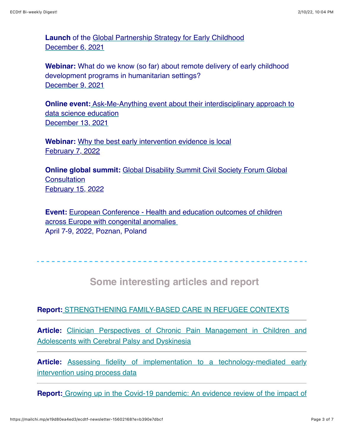**Launch** of the [Global Partnership Strategy for Early Childhood](https://unesco-org.zoom.us/webinar/register/WN_c71IFdKZQVGQfp071QKI4g) [December 6, 2021](https://www.worldbank.org/en/events/2021/11/15/driving-innovation-in-nutrition-financing#1)

**Webinar:** What do we know (so far) about remote delivery of early childhood development programs in humanitarian settings? [December 9, 2021](https://www.worldbank.org/en/events/2021/11/15/driving-innovation-in-nutrition-financing#1)

**Online event[:](https://www.eventbrite.com/e/ask-me-anything-with-nyc-department-of-education-registration-195244550707)** [Ask-Me-Anything event about their interdisciplinary approach to](https://www.eventbrite.com/e/ask-me-anything-with-nyc-department-of-education-registration-195244550707) data science education [December 13, 2021](https://www.worldbank.org/en/events/2021/11/15/driving-innovation-in-nutrition-financing#1)

**Webinar:** [Why the best early intervention evidence is local](https://www.eventbrite.co.uk/e/why-the-best-early-intervention-evidence-is-local-tickets-211157195857) February [7, 2022](https://www.worldbank.org/en/events/2021/11/15/driving-innovation-in-nutrition-financing#1)

**Online global summit:** [Global Disability Summit Civil Society Forum Global](https://www.internationaldisabilityalliance.org/content/online-global-consultation-civil-society-forum-global-disability-summit-2022) **Consultation** February 1[5, 2022](https://www.worldbank.org/en/events/2021/11/15/driving-innovation-in-nutrition-financing#1)

**Event:** [European Conference - Health and education outcomes of children](https://www.eurolinkcat.eu/) across Europe with congenital anomalies April 7-9, 2022, Poznan, Poland

## **Some interesting articles and report**

#### **Report:** [STRENGTHENING FAMILY-BASED CARE IN REFUGEE CONTEXTS](https://www.wearelumos.org/resources/strengthening-family-based-care-refugee-contexts/?fbclid=IwAR2Ng2EmYZ2ozhVVcjCDDhejAvu4fK4KhXB5p1zCvkm2V0DgaYLzCvyjPd8)

**Article:** [Clinician Perspectives of Chronic Pain Management in Children and](https://pubmed.ncbi.nlm.nih.gov/33251932/) Adolescents with Cerebral Palsy and Dyskinesia

**Article:** [Assessing fidelity of implementation to a technology-mediated early](https://onlinelibrary.wiley.com/doi/abs/10.1111/jcal.12621) intervention using process data

**Report:** [Growing up in the Covid-19 pandemic: An evidence review of the impact of](https://www.eif.org.uk/report/growing-up-in-the-covid-19-pandemic-an-evidence-review-of-the-impact-of-pandemic-life-on-physical-development-in-the-early-years)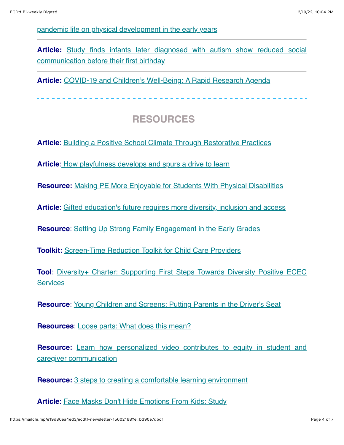#### [pandemic life on physical development in the early years](https://www.eif.org.uk/report/growing-up-in-the-covid-19-pandemic-an-evidence-review-of-the-impact-of-pandemic-life-on-physical-development-in-the-early-years)

**Article:** [Study finds infants later diagnosed with autism show reduced social](https://www.eurekalert.org/news-releases/934774) communication before their first birthday

**Article:** [COVID-19 and Children's Well-Being: A Rapid Research Agenda](https://link.springer.com/article/10.1007/s10995-021-03207-2)

## **RESOURCES**

**Article:** [Building a Positive School Climate Through Restorative Practices](https://learningpolicyinstitute.org/product/wce-positive-school-climate-restorative-practices-brief)

**Article**: [How playfulness develops and spurs a drive to learn](https://childandfamilyblog.com/playfulness-develops-drive-to-learn/)

**Resource:** [Making PE More Enjoyable for Students With Physical Disabilities](https://www.edutopia.org/article/making-pe-more-enjoyable-students-physical-disabilities?utm_content=linkpos5&utm_source=edu-newsletter&utm_medium=email&utm_campaign=weekly-2021-11-17-A)

**Article**: [Gifted education's future requires more diversity, inclusion and access](https://www.k12dive.com/news/the-struggles-and-success-of-diversifying-gifted-education/609200/)

**Resource**: [Setting Up Strong Family Engagement in the Early Grades](https://www.edutopia.org/article/setting-strong-family-engagement-early-grades)

**Toolkit:** [Screen-Time Reduction Toolkit for Child Care Providers](https://d3knp61p33sjvn.cloudfront.net/2015/04/Screen-TimeReductionToolkit.pdf)

**Tool:** Diversity+ Charter: Supporting First Steps Towards Diversity Positive ECEC **Services** 

**Resource:** [Young Children and Screens: Putting Parents in the Driver's Seat](https://www.zerotothree.org/resources/2532-young-children-and-screens-putting-parents-in-the-driver-s-seat)

**Resources**: [Loose parts: What does this mean?](https://extension.psu.edu/programs/betterkidcare/early-care/tip-pages/all/loose-parts-what-does-this-mean)

**Resource:** [Learn how personalized video contributes to equity in student and](https://www.k12dive.com/spons/learn-how-personalized-video-contributes-to-equity-in-student-and-caregiver/609748/) caregiver communication

**Resource:** [3 steps to creating a comfortable learning environment](https://www.eschoolnews.com/2021/11/02/3-steps-to-creating-a-comfortable-learning-environment/)

**Article: [Face Masks Don't Hide Emotions From Kids: Study](https://consumer.healthday.com/b-11-16-face-masks-don-t-hide-emotions-from-kids-study-2655744714.html)**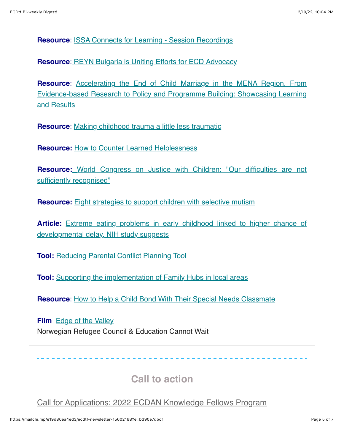**Resource**: [ISSA Connects for Learning - Session Recordings](https://www.youtube.com/playlist?list=PLrNcGju3ovm1u7mq_3ut0dFYbb8z5YJlI)

**Resource**: [REYN Bulgaria is Uniting Efforts for ECD Advocacy](https://reyn.eu/reynnationalnetworks/reyn-bulgaria/?ct=t(EMAIL_CAMPAIGN_Nov_ExternalNL_2021))

**Resource**: Accelerating the End of Child Marriage in the MENA Region. From [Evidence-based Research to Policy and Programme Building: Showcasing Learning](https://childhub.org/en/child-protection-webinars/accelerating-end-child-marriage-mena-region) and Results

**Resource**: [Making childhood trauma a little less traumatic](https://www.thespectrum.com/story/news/2021/11/07/live-well-making-childhood-trauma-little-less-traumatic/6316656001/)

**Resource:** [How to Counter Learned Helplessness](https://www.edutopia.org/article/how-counter-learned-helplessness?fbclid=IwAR2qinVcuR5i5L3izwWU7ZX6tZwCxFeD6cnVvInqRf3Nw-16Bf1F9fEF9Ac)

**Resource:** [World Congress on Justice with Children: "Our difficulties are not](https://www.tdh.ch/en/news/world-congress-justice-children-our-difficulties-are-not-sufficiently-recognised) sufficiently recognised"

**Resource:** [Eight strategies to support children with selective mutism](https://www.banterspeech.com.au/eight-strategies-to-support-children-with-selective-mutism/?fbclid=IwAR2lMRMX9rOo8nhFHvXC-CNMFEP9jYty-4WLRT6JABGm0hAndRuyuiNPoV0)

**Article:** [Extreme eating problems in early childhood linked to higher chance of](https://www.nih.gov/news-events/news-releases/extreme-eating-problems-early-childhood-linked-higher-chance-developmental-delay-nih-study-suggests?fbclid=IwAR05xQr8JIBRcMwUQdF0QostUUMX_vyehAEhb5otFL4tlXvJTQbrOiP_40I) developmental delay, NIH study suggests

**Tool:** [Reducing Parental Conflict Planning Tool](https://www.eif.org.uk/resource/reducing-parental-conflict-planning-tool)

**Tool:** [Supporting the implementation of Family Hubs in local areas](https://www.nationalcentreforfamilyhubs.org.uk/toolkit/)

**Resource**: [How to Help a Child Bond With Their Special Needs Classmate](https://www.newyorkfamily.com/help-child-bond-with-special-needs-classmate/)

**Film** [Edge of the Valley](https://www.nrc.no/shorthand/stories/edge-of-the-valley/index.html) Norwegian Refugee Council & Education Cannot Wait

 **Call to action** 

[Call for Applications: 2022 ECDAN Knowledge Fellows Program](https://mailchi.mp/e19d80ea4ed3/Call%20for%20Applications:%202022%20ECDAN%20Knowledge%20Fellows%20Program)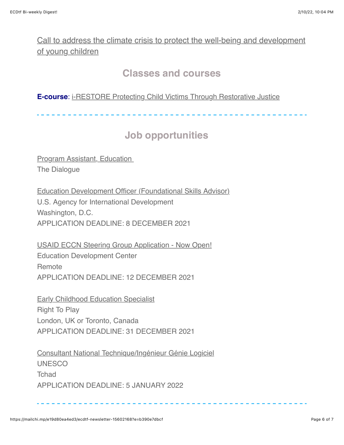[Call to address the climate crisis to protect the well-being and development](https://mailchi.mp/arnec/regional-call-to-action-on-cc-30sept?ct=t(EMAIL_CAMPAIGN_Nov_ExternalNL_2021)) of young children

## **Classes and courses**

#### **E-course:** [i-RESTORE Protecting Child Victims Through Restorative Justice](https://childhub.org/en/online-learning-materials/i-restore)

# **Job opportunities**

**Program Assistant, Education** The Dialogue

[Education Development Officer \(Foundational Skills Advisor\)](https://inee.org/jobs/education-development-officer-foundational-skills-advisor) U.S. Agency for International Development Washington, D.C. APPLICATION DEADLINE: 8 DECEMBER 2021

[USAID ECCN Steering Group Application - Now Open!](https://na01.safelinks.protection.outlook.com/?url=https%3A%2F%2Finee.us5.list-manage.com%2Ftrack%2Fclick%3Fu%3Dfef0506b371181f31cc3ba467%26id%3D60d8931a92%26e%3De2d7536134&data=04%7C01%7C%7C4208a153678f4751460208d9ab3b8eaf%7C84df9e7fe9f640afb435aaaaaaaaaaaa%7C1%7C0%7C637729094550309481%7CUnknown%7CTWFpbGZsb3d8eyJWIjoiMC4wLjAwMDAiLCJQIjoiV2luMzIiLCJBTiI6Ik1haWwiLCJXVCI6Mn0%3D%7C3000&sdata=b2%2Fj98Le8SJtbWRRFwg1E9rCI614NcPGTrqSH2oE3dE%3D&reserved=0https://inee.org/jobs/usaid-eccn-steering-group-application-now-open) Education Development Center **Remote** APPLICATION DEADLINE: 12 DECEMBER 2021

[Early Childhood Education Specialist](https://na01.safelinks.protection.outlook.com/?url=https%3A%2F%2Finee.us5.list-manage.com%2Ftrack%2Fclick%3Fu%3Dfef0506b371181f31cc3ba467%26id%3D512a89d491%26e%3De2d7536134&data=04%7C01%7C%7C4208a153678f4751460208d9ab3b8eaf%7C84df9e7fe9f640afb435aaaaaaaaaaaa%7C1%7C0%7C637729094550319440%7CUnknown%7CTWFpbGZsb3d8eyJWIjoiMC4wLjAwMDAiLCJQIjoiV2luMzIiLCJBTiI6Ik1haWwiLCJXVCI6Mn0%3D%7C3000&sdata=tCpuqQMOtRScgVCXKC8mjGc1UtZYMsEJGPKuoa2xDW0%3D&reserved=0https://inee.org/jobs/early-childhood-education-specialist) Right To Play London, UK or Toronto, Canada APPLICATION DEADLINE: 31 DECEMBER 2021

[Consultant National Technique/Ingénieur Génie Logiciel](https://inee.org/fr/jobs/consultant-national-techniqueingenieur-genie-logiciel) UNESCO **Tchad** APPLICATION DEADLINE: 5 JANUARY 2022

--------